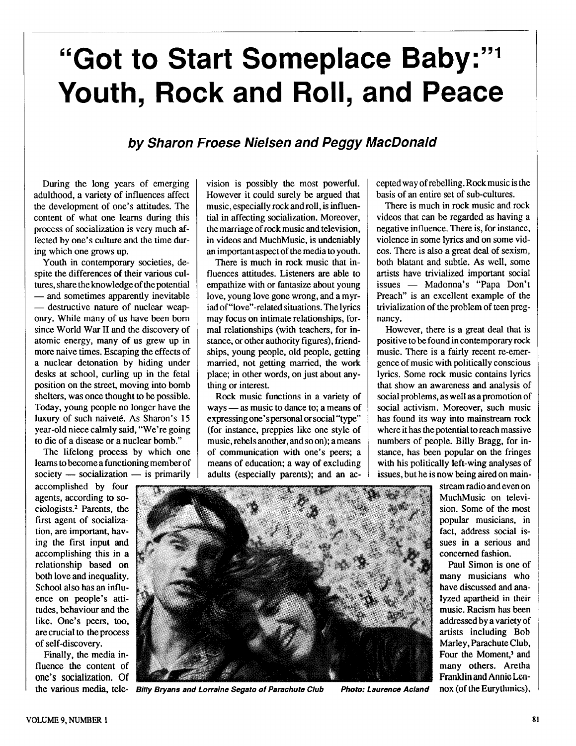## **"Got to Start Someplace Baby:"' Youth, Rock and Roll, and Peace**

## **by Sharon Froese Nielsen and Peggy MacDonald**

During the long years of emerging adulthood, a variety of influences affect the development of one's attitudes. The content of what one learns during this process of socialization is very much affected by one's culture and the time during which one grows up.

Youth in contemporary societies, despite the differences of their various cultures, share theknowledge of the potential spite the differences of their various cul-<br>tures, share the knowledge of the potential<br>— and sometimes apparently inevitable<br>destructive pattern of much parameter - and sometimes apparently inevitable<br>
- destructive nature of nuclear weaponry. While many of us have been born since World War **I1** and the discovery of atomic energy, many of us grew up in more naive times. Escaping the effects of a nuclear detonation by hiding under desks at school, curling up in the fetal position on the street, moving into bomb shelters, was once thought to be possible. Today, young people no longer have the luxury of such naiveté. As Sharon's 15 year-old niece calmly said, "We're going to die of a disease or a nuclear bomb."

The lifelong process by which one learns to become a functioning member of society  $\sim$  socialization  $\sim$  is primarily

accomplished by four agents, according to sociologists.<sup>2</sup> Parents, the first agent of socialization, are important, having the first input and accomplishing this in a relationship based on both love and inequality. School also has an influence on people's attitudes, behaviour and the like. One's peers, **too,**  are crucial to the process of self-discovery.

Finally, the media influence the content of **one's socialization.** Of vision is possibly the most powerful. However it could surely be argued that music, especially rock and roll, is influential in affecting socialization. Moreover, the marriage of rock music and television, in videos and MuchMusic, is undeniably an important aspect of the media to youth.

There is much in rock music that influences attitudes. Listeners are able to empathize with or fantasize about young love, young love gone wrong, and a myriad of "love"-related situations. The lyrics may focus on intimate relationships, formal relationships (with teachers, for instance, or other authority figures), friendships, young people, old people, getting married, not getting married, the work place; in other words, on just about anything or interest.

Rock music functions in a variety of  $ways - as music to dance to; a means of$ expressing one's personal or social "type" (for instance, preppies like one style of music, rebels another, and so on); a means of communication with one's peers; a means of education; a way of excluding adults (especially parents); and an accepted way of rebelling. Rock music is the basis of an entire set of sub-cultures.

There is much in rock music and rock videos that can be regarded as having a negative influence. There is, for instance, violence in some lyrics and on some videos. There is also a great deal of sexism, both blatant and subtle. As well, some artists have trivialized important social issues - Madonna's "Papa Don't Preach" is an excellent example of the trivialization of the problem of teen pregnancy.

However, there is a great deal that is positive to be found in contemporary rock music. There is a fairly recent re-emergence of music with politically conscious lyrics. Some rock music contains lyrics that show an awareness and analysis of social problems, as well as apromotion of social activism. Moreover, such music has found its way into mainstream rock where it has the potential to reach massive numbers of people. Billy Bragg, for instance, has been popular on the fringes with his politically left-wing analyses of issues, but he is now being aired on main-

stream radio and even on MuchMusic on television. Some of the most popular musicians, in fact, address social issues in a serious and concerned fashion.

Paul Simon is one of many musicians who have discussed and analyzed apartheid in their music. Racism has been addressed by a variety of artists including Bob Marley, Parachute Club, Four the Moment,<sup>3</sup> and many others. Aretha **Franklin** and **Annie Len-**



the various media, tele- Billy Bryans and Lorraine Segato of Parachute Club Photo: Laurence Acland nox (of the Eurythmics),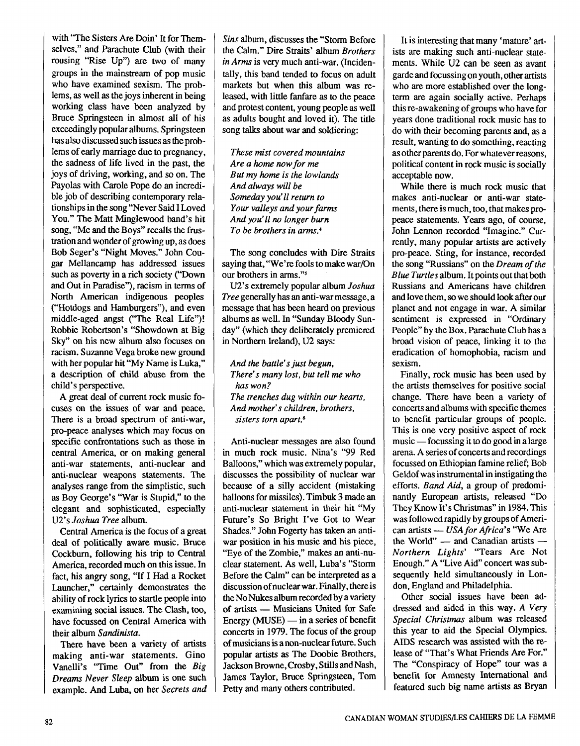with "The Sisters Are Doin' It for Themselves," and Parachute Club (with their rousing "Rise Up") are two of many groups in the mainstream of pop music who have examined sexism. The problems, as well as the joys inherent in being working class have been analyzed by Bruce Springsteen in almost all of his exceedingly popular albums. Springsteen has also discussed such issues as the problems of early marriage due to pregnancy, the sadness of life lived in the past, the joys of driving, working, and so on. The Payolas with Carole Pope do an incredible job of describing contemporary relationships in the song "Never Said I Loved You." The Matt Minglewood band's hit song, "Me and the Boys" recalls the frustration and wonder of growing up, as does Bob Seger's "Night Moves." John Cougar Mellancamp has addressed issues such as poverty in a rich society ("Down and Out in Paradise"), racism in terms of North American indigenous peoples ("Hotdogs and Hamburgers"), and even middle-aged angst ("The Real Life")! Robbie Robertson's "Showdown at Big Sky" on his new album also focuses on racism. Suzanne Vega broke new ground with her popular hit "My Name is Luka," a description of child abuse from the child's perspective.

A great deal of current rock music focuses on the issues of war and peace. There is a broad spectrum of anti-war, pro-peace analyses which may focus on specific confrontations such as those in central America, or on making general anti-war statements, anti-nuclear and anti-nuclear weapons statements. The analyses range from the simplistic, such as Boy George's "War is Stupid," to the elegant and sophisticated, especially U2's *Joshua Tree* album.

Central America is the focus of a great deal of politically aware music. Bruce Cockburn, following his trip to Central America, recorded much on this issue. In fact, his angry song, "If I Had a Rocket Launcher," certainly demonstrates the ability of rock lyrics to startle people into examining social issues. The Clash, too, have focussed on Central America with their album *Sandinista.* 

There have been a variety of artists making anti-war statements. Gino Vanelli's "Time Out" from the *Big Dreams Never Sleep* album is one such example. And Luba, on her *Secrets and*  *Sins* album, discusses the "Storm Before the Calm." Dire Straits' album *Brothers in Arms* is very much anti-war. (Incidentally, this band tended to focus on adult markets but when this album was released, with little fanfare as to the peace and protest content, young people as well as adults bought and loved it). The title song talks about war and soldiering:

*These mist covered mountains Are a home now for me But my home is the lowlands And always will be Someday you'll return to Your valleys and your farms And you'll no longer burn To be brothers in arms.'* 

The song concludes with Dire Straits saying that, "We're fools to make war/On our brothers in arms."<sup>5</sup>

U2's extremely popular album *Joshua Tree* generally has an anti-war message, a message that has been heard on previous albums as well. In "Sunday Bloody Sunday" (which they deliberately premiered in Northern Ireland), U2 says:

*And the battle's just begun, There's many lost, but tell me who has won? The trenches dug within our hearts, And mother's children, brothers, sisters torn apart.6* 

Anti-nuclear messages are also found in much rock music. Nina's "99 Red Balloons," which was extremely popular, discusses the possibility of nuclear war because of a silly accident (mistaking balloons for missiles). Timbuk 3 made an anti-nuclear statement in their hit "My Future's So Bright I've Got to Wear Shades." John Fogerty has taken an antiwar position in his music and his piece, "Eye of the Zombie," makes an anti-nuclear statement. As well, Luba's "Storm Before the Calm" can be interpreted as a discussion of nuclear war. Finally, there is the No Nukes album recorded by a variety discussion of nuclear war. Finally, there is<br>the No Nukes album recorded by a variety<br>of artists — Musicians United for Safe<br>Fragme (MUSE) — in a garies of banefit the No Nukes album recorded by a variety<br>of artists — Musicians United for Safe<br>Energy (MUSE) — in a series of benefit concerts in 1979. The focus of the group of musicians is a non-nuclear future. Such popular artists as The Doobie Brothers, Jackson Browne, Crosby, Stills and Nash, James Taylor, Bruce Springsteen, Tom Petty and many others contributed.

It is interesting that many 'mature' artists are making such anti-nuclear statements. While U2 can be seen as avant garde and focussing on youth, other artists who are more established over the longterm are again socially active. Perhaps this re-awakening of groups who have for years done traditional rock music has to do with their becoming parents and, as a result, wanting to do something, reacting as other parents do. For whatever reasons, political content in rock music is socially acceptable now.

While there is much rock music that makes anti-nuclear or anti-war statements, there is much, too, that makes propeace statements. Years ago, of course, John Lennon recorded "Imagine." Currently, many popular artists are actively pro-peace. Sting, for instance, recorded the song "Russians" on the *Dream of the Blue Turtles* album. It points out that both Russians and Americans have children and love them, so we should look after our planet and not engage in war. A similar sentiment is expressed in "Ordinary People" by the Box. Parachute Club has a broad vision of peace, linking it to the eradication of homophobia, racism and sexism.

Finally, rock music has been used by the artists themselves for positive social change. There have been a variety of concerts and albums with specific themes to benefit particular groups of people. This is one very positive aspect of rock music - focussing it to do good in a large arena. A series of concerts and recordings focussed on Ethiopian famine relief; Bob Geldof was instrumental in instigating the efforts. *Band Aid,* a group of predominantly European artists, released "Do They Know It's Christmas" in 1984. This was followed rapidly by groups of Ameri-They Know It's Christmas" in 1984. This<br>was followed rapidly by groups of Ameri-<br>can artists --- *USA for Africa*'s "We Are<br>the Werld" and Conodian artists was followed rapidly by groups of American artists  $- USA$  for Africa's "We Are<br>the World"  $-$  and Canadian artists  $-$ <br>Next have Lights', "Tears, Are Not *Northern Lights'* "Tears Are Not Enough." A "Live Aid" concert was subsequently held simultaneously in London, England and Philadelphia.

Other social issues have been addressed and aided in this way. A *Very Special Christmas* album was released this year to aid the Special Olympics. AIDS research was assisted with the release of "That's What Friends Are For." The "Conspiracy of Hope" tour was a benefit for Amnesty International and featured such big name artists as Bryan